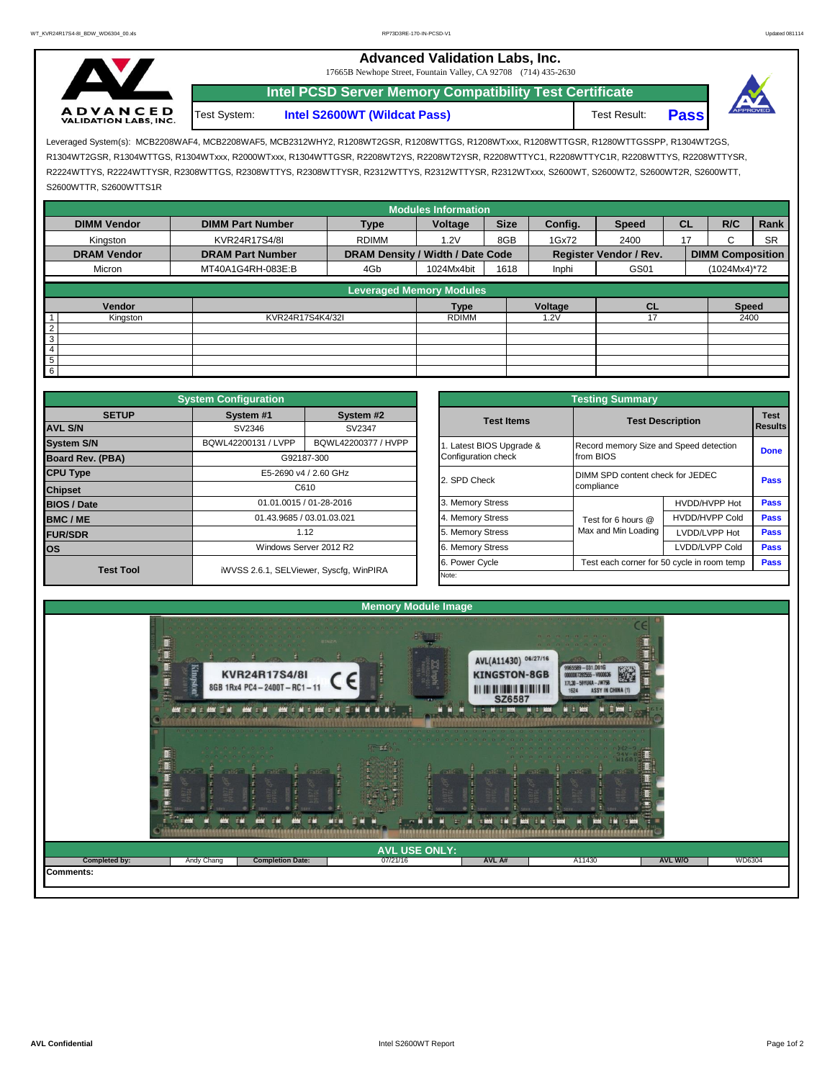## **A D V A N C E D**<br>VALIDATION LABS, INC. Test System:

**Intel S2600WT (Wildcat Pass)** Test Result: **Pass** 17665B Newhope Street, Fountain Valley, CA 92708 (714) 435-2630 **Intel PCSD Server Memory Compatibility Test Certificate**

**Advanced Validation Labs, Inc.** 



Leveraged System(s): MCB2208WAF4, MCB2208WAF5, MCB2312WHY2, R1208WT2GSR, R1208WTTGS, R1208WTxxx, R1208WTTGSR, R1280WTTGSSPP, R1304WT2GS, R1304WT2GSR, R1304WTTGS, R1304WTxxx, R2000WTxxx, R1304WTTGSR, R2208WT2YS, R2208WT2YSR, R2208WTTYC1, R2208WTTYC1R, R2208WTTYS, R2208WTTYSR, R2224WTTYS, R2224WTTYSR, R2308WTTGS, R2308WTTYS, R2308WTTYSR, R2312WTTYS, R2312WTTYSR, R2312WTxxx, S2600WT, S2600WT2, S2600WT2R, S2600WTT, S2600WTTR, S2600WTTS1R

|                              |                          |                                  | <b>Modules Information</b> |             |         |                               |           |                         |           |  |
|------------------------------|--------------------------|----------------------------------|----------------------------|-------------|---------|-------------------------------|-----------|-------------------------|-----------|--|
| <b>DIMM Vendor</b>           | <b>DIMM Part Number</b>  | <b>Type</b>                      | Voltage                    | <b>Size</b> | Config. | <b>Speed</b>                  | <b>CL</b> | R/C                     | Rank      |  |
| Kingston                     | KVR24R17S4/8I            | <b>RDIMM</b>                     | 1.2V                       | 8GB         | 1Gx72   | 2400                          | 17        | ι.                      | <b>SR</b> |  |
| <b>DRAM Vendor</b>           | <b>DRAM Part Number</b>  | DRAM Density / Width / Date Code |                            |             |         | <b>Register Vendor / Rev.</b> |           | <b>DIMM Composition</b> |           |  |
| Micron                       | MT40A1G4RH-083E:B<br>4Gb |                                  | 1024Mx4bit                 | 1618        | Inphi   | GS01                          |           | (1024Mx4)*72            |           |  |
|                              |                          | <b>Leveraged Memory Modules</b>  |                            |             |         |                               |           |                         |           |  |
|                              |                          |                                  |                            |             |         |                               |           |                         |           |  |
| Vendor                       |                          |                                  | <b>Type</b>                |             | Voltage | <b>CL</b>                     |           | <b>Speed</b>            |           |  |
| KVR24R17S4K4/32I<br>Kingston |                          | <b>RDIMM</b>                     |                            |             | 1.2V    | 17                            |           | 2400                    |           |  |
| $^{\circ}$ 2                 |                          |                                  |                            |             |         |                               |           |                         |           |  |
| 3                            |                          |                                  |                            |             |         |                               |           |                         |           |  |
| $\overline{4}$               |                          |                                  |                            |             |         |                               |           |                         |           |  |
| $5\overline{)}$              |                          |                                  |                            |             |         |                               |           |                         |           |  |
| 6                            |                          |                                  |                            |             |         |                               |           |                         |           |  |

|                         | <b>System Configuration</b> |                                         | <b>Testing Summary</b> |                       |                                            |                                        |             |  |  |  |  |  |
|-------------------------|-----------------------------|-----------------------------------------|------------------------|-----------------------|--------------------------------------------|----------------------------------------|-------------|--|--|--|--|--|
| <b>SETUP</b>            | System #1                   | System #2                               | <b>Test Items</b>      |                       | <b>Test Description</b>                    |                                        |             |  |  |  |  |  |
| <b>AVL S/N</b>          | SV2346                      | SV2347                                  |                        |                       |                                            |                                        |             |  |  |  |  |  |
| <b>System S/N</b>       | BQWL42200131 / LVPP         | BQWL42200377 / HVPP                     |                        | Latest BIOS Upgrade & |                                            | Record memory Size and Speed detection | <b>Done</b> |  |  |  |  |  |
| <b>Board Rev. (PBA)</b> |                             | G92187-300                              | Configuration check    |                       | from BIOS                                  |                                        |             |  |  |  |  |  |
| <b>CPU Type</b>         |                             | E5-2690 v4 / 2.60 GHz                   | 2. SPD Check           |                       | DIMM SPD content check for JEDEC           | Pass                                   |             |  |  |  |  |  |
| <b>Chipset</b>          |                             | C610                                    |                        |                       | compliance                                 |                                        |             |  |  |  |  |  |
| <b>BIOS / Date</b>      |                             | 01.01.0015 / 01-28-2016                 |                        |                       |                                            | HVDD/HVPP Hot                          | <b>Pass</b> |  |  |  |  |  |
| <b>BMC/ME</b>           | 01.43.9685 / 03.01.03.021   |                                         | 4. Memory Stress       |                       | Test for 6 hours @                         | <b>HVDD/HVPP Cold</b>                  | <b>Pass</b> |  |  |  |  |  |
| <b>FUR/SDR</b>          |                             | 1.12                                    | 5. Memory Stress       |                       | Max and Min Loading                        | LVDD/LVPP Hot                          | Pass        |  |  |  |  |  |
| los                     | Windows Server 2012 R2      | 6. Memory Stress                        |                        |                       | LVDD/LVPP Cold                             | <b>Pass</b>                            |             |  |  |  |  |  |
| <b>Test Tool</b>        |                             | iWVSS 2.6.1, SELViewer, Syscfq, WinPIRA |                        |                       | Test each corner for 50 cycle in room temp | <b>Pass</b>                            |             |  |  |  |  |  |
|                         |                             | Note:                                   |                        |                       |                                            |                                        |             |  |  |  |  |  |

|              | <b>System Configuration</b> |                                         | <b>Testing Summary</b> |                                            |                                           |             |  |  |  |  |  |
|--------------|-----------------------------|-----------------------------------------|------------------------|--------------------------------------------|-------------------------------------------|-------------|--|--|--|--|--|
| <b>SETUP</b> | System #1                   | System #2                               | <b>Test Items</b>      |                                            | <b>Test</b>                               |             |  |  |  |  |  |
|              | SV2346                      | SV2347                                  |                        |                                            | <b>Test Description</b><br><b>Results</b> |             |  |  |  |  |  |
|              | BQWL42200131 / LVPP         | BQWL42200377 / HVPP                     | Latest BIOS Upgrade &  | Record memory Size and Speed detection     |                                           | <b>Done</b> |  |  |  |  |  |
| PBA)         |                             | G92187-300                              | Configuration check    | from BIOS                                  |                                           |             |  |  |  |  |  |
|              |                             | E5-2690 v4 / 2.60 GHz                   | 2. SPD Check           | DIMM SPD content check for JEDEC           | Pass                                      |             |  |  |  |  |  |
|              |                             | C610                                    |                        | compliance                                 |                                           |             |  |  |  |  |  |
|              |                             | 01.01.0015 / 01-28-2016                 | 3. Memory Stress       |                                            | HVDD/HVPP Hot                             | Pass        |  |  |  |  |  |
|              |                             | 01.43.9685 / 03.01.03.021               | 4. Memory Stress       | Test for 6 hours @                         | <b>HVDD/HVPP Cold</b>                     | Pass        |  |  |  |  |  |
|              |                             | 1.12                                    | 5. Memory Stress       | Max and Min Loading                        | LVDD/LVPP Hot                             | <b>Pass</b> |  |  |  |  |  |
|              |                             | Windows Server 2012 R2                  | 6. Memory Stress       |                                            | LVDD/LVPP Cold                            | <b>Pass</b> |  |  |  |  |  |
|              |                             |                                         | 6. Power Cycle         | Test each corner for 50 cycle in room temp | Pass                                      |             |  |  |  |  |  |
| est Tool     |                             | iWVSS 2.6.1, SELViewer, Syscfq, WinPIRA | Note:                  |                                            |                                           |             |  |  |  |  |  |